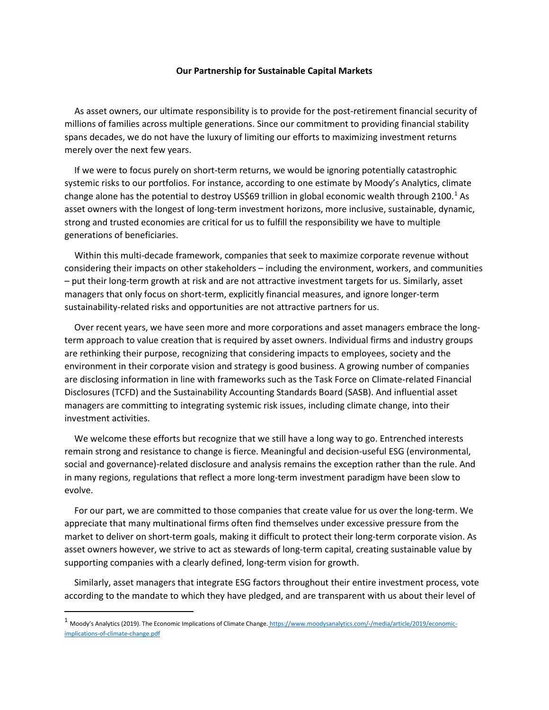## **Our Partnership for Sustainable Capital Markets**

As asset owners, our ultimate responsibility is to provide for the post-retirement financial security of millions of families across multiple generations. Since our commitment to providing financial stability spans decades, we do not have the luxury of limiting our efforts to maximizing investment returns merely over the next few years.

If we were to focus purely on short-term returns, we would be ignoring potentially catastrophic systemic risks to our portfolios. For instance, according to one estimate by Moody's Analytics, climate change alone has the potential to destroy US\$69 trillion in global economic wealth through 2[1](#page-0-0)00.<sup>1</sup> As asset owners with the longest of long-term investment horizons, more inclusive, sustainable, dynamic, strong and trusted economies are critical for us to fulfill the responsibility we have to multiple generations of beneficiaries.

Within this multi-decade framework, companies that seek to maximize corporate revenue without considering their impacts on other stakeholders – including the environment, workers, and communities – put their long-term growth at risk and are not attractive investment targets for us. Similarly, asset managers that only focus on short-term, explicitly financial measures, and ignore longer-term sustainability-related risks and opportunities are not attractive partners for us.

Over recent years, we have seen more and more corporations and asset managers embrace the longterm approach to value creation that is required by asset owners. Individual firms and industry groups are rethinking their purpose, recognizing that considering impacts to employees, society and the environment in their corporate vision and strategy is good business. A growing number of companies are disclosing information in line with frameworks such as the Task Force on Climate-related Financial Disclosures (TCFD) and the Sustainability Accounting Standards Board (SASB). And influential asset managers are committing to integrating systemic risk issues, including climate change, into their investment activities.

We welcome these efforts but recognize that we still have a long way to go. Entrenched interests remain strong and resistance to change is fierce. Meaningful and decision-useful ESG (environmental, social and governance)-related disclosure and analysis remains the exception rather than the rule. And in many regions, regulations that reflect a more long-term investment paradigm have been slow to evolve.

For our part, we are committed to those companies that create value for us over the long-term. We appreciate that many multinational firms often find themselves under excessive pressure from the market to deliver on short-term goals, making it difficult to protect their long-term corporate vision. As asset owners however, we strive to act as stewards of long-term capital, creating sustainable value by supporting companies with a clearly defined, long-term vision for growth.

Similarly, asset managers that integrate ESG factors throughout their entire investment process, vote according to the mandate to which they have pledged, and are transparent with us about their level of

<span id="page-0-0"></span><sup>&</sup>lt;sup>1</sup> Moody's Analytics (2019). The Economic Implications of Climate Change. [https://www.moodysanalytics.com/-/media/article/2019/economic](https://www.moodysanalytics.com/-/media/article/2019/economic-implications-of-climate-change.pdf)[implications-of-climate-change.pdf](https://www.moodysanalytics.com/-/media/article/2019/economic-implications-of-climate-change.pdf)